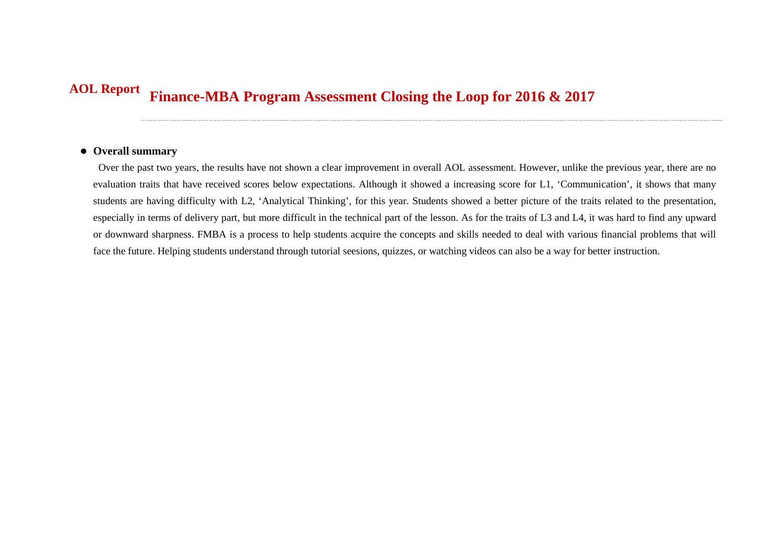## **Finance-MBA Program Assessment Closing the Loop for 2016 & 2017 AOL Report**

## **Overall summary**

Over the past two years, the results have not shown a clear improvement in overall AOL assessment. However, unlike the previous year, there are no evaluation traits that have received scores below expectations. Although it showed a increasing score for L1, 'Communication', it shows that many students are having difficulty with L2, 'Analytical Thinking', for this year. Students showed a better picture of the traits related to the presentation, especially in terms of delivery part, but more difficult in the technical part of the lesson. As for the traits of L3 and L4, it was hard to find any upward or downward sharpness. FMBA is a process to help students acquire the concepts and skills needed to deal with various financial problems that will face the future. Helping students understand through tutorial seesions, quizzes, or watching videos can also be a way for better instruction.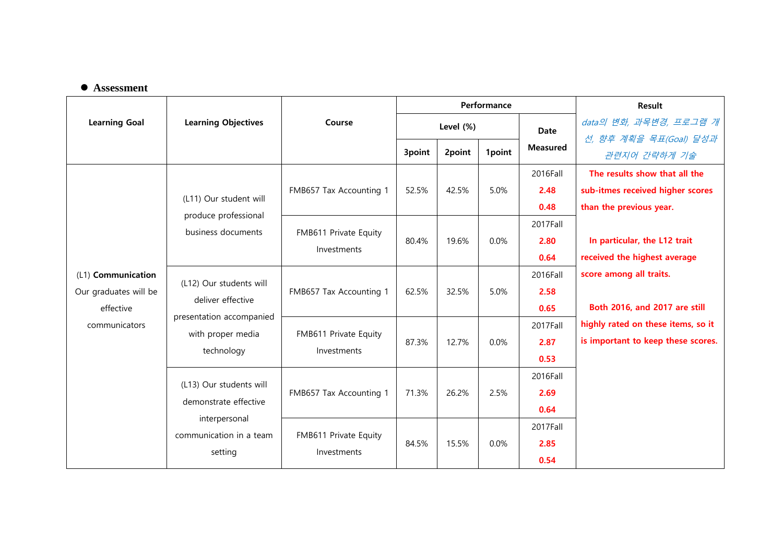## **Assessment**

|                                             | <b>Learning Objectives</b>                                                                                  | Course                               | Performance |        |         |                 | <b>Result</b>                      |
|---------------------------------------------|-------------------------------------------------------------------------------------------------------------|--------------------------------------|-------------|--------|---------|-----------------|------------------------------------|
| <b>Learning Goal</b>                        |                                                                                                             |                                      | Level (%)   |        |         | <b>Date</b>     | data의 변화, 과목변경, 프로그램 개             |
|                                             |                                                                                                             |                                      |             |        |         | <b>Measured</b> | 선, 향후 계획을 목표(Goal) 달성과             |
|                                             |                                                                                                             |                                      | 3point      | 2point | 1point  |                 | 관련지어 간략하게 기술                       |
|                                             | (L11) Our student will<br>produce professional<br>business documents                                        | FMB657 Tax Accounting 1              | 52.5%       | 42.5%  | 5.0%    | 2016Fall        | The results show that all the      |
|                                             |                                                                                                             |                                      |             |        |         | 2.48            | sub-itmes received higher scores   |
|                                             |                                                                                                             |                                      |             |        |         | 0.48            | than the previous year.            |
|                                             |                                                                                                             | FMB611 Private Equity<br>Investments | 80.4%       | 19.6%  | 0.0%    | 2017Fall        |                                    |
| (L1) Communication<br>Our graduates will be |                                                                                                             |                                      |             |        |         | 2.80            | In particular, the L12 trait       |
|                                             |                                                                                                             |                                      |             |        |         | 0.64            | received the highest average       |
|                                             | (L12) Our students will<br>deliver effective<br>presentation accompanied<br>with proper media<br>technology | FMB657 Tax Accounting 1              | 62.5%       | 32.5%  | 5.0%    | 2016Fall        | score among all traits.            |
|                                             |                                                                                                             |                                      |             |        |         | 2.58            |                                    |
| effective                                   |                                                                                                             |                                      |             |        |         | 0.65            | Both 2016, and 2017 are still      |
| communicators                               |                                                                                                             | FMB611 Private Equity<br>Investments | 87.3%       | 12.7%  | 0.0%    | 2017Fall        | highly rated on these items, so it |
|                                             |                                                                                                             |                                      |             |        |         | 2.87            | is important to keep these scores. |
|                                             |                                                                                                             |                                      |             |        |         | 0.53            |                                    |
|                                             | (L13) Our students will<br>demonstrate effective<br>interpersonal<br>communication in a team<br>setting     | FMB657 Tax Accounting 1              | 71.3%       | 26.2%  | 2.5%    | 2016Fall        |                                    |
|                                             |                                                                                                             |                                      |             |        |         | 2.69            |                                    |
|                                             |                                                                                                             |                                      |             |        |         | 0.64            |                                    |
|                                             |                                                                                                             | FMB611 Private Equity<br>Investments | 84.5%       | 15.5%  | $0.0\%$ | 2017Fall        |                                    |
|                                             |                                                                                                             |                                      |             |        |         | 2.85            |                                    |
|                                             |                                                                                                             |                                      |             |        |         | 0.54            |                                    |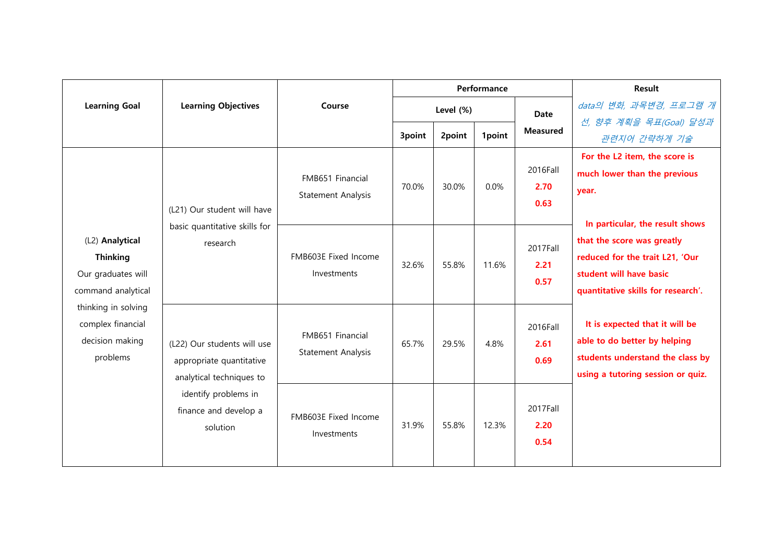|                                                                                |                                                                                     |                                        | Performance<br>Level (%)<br><b>Date</b> |        |        | Result                   |                                                                                                                                         |
|--------------------------------------------------------------------------------|-------------------------------------------------------------------------------------|----------------------------------------|-----------------------------------------|--------|--------|--------------------------|-----------------------------------------------------------------------------------------------------------------------------------------|
| <b>Learning Goal</b>                                                           | <b>Learning Objectives</b>                                                          | Course                                 |                                         |        |        |                          | data의 변화, 과목변경, 프로그램 개                                                                                                                  |
|                                                                                |                                                                                     |                                        | 3point                                  | 2point | 1point | <b>Measured</b>          | 선, 향후 계획을 목표(Goal) 달성과<br>관련지어 간략하게 기술                                                                                                  |
|                                                                                | (L21) Our student will have                                                         | FMB651 Financial<br>Statement Analysis | 70.0%                                   | 30.0%  | 0.0%   | 2016Fall<br>2.70<br>0.63 | For the L2 item, the score is<br>much lower than the previous<br>year.<br>In particular, the result shows                               |
| (L2) Analytical<br><b>Thinking</b><br>Our graduates will<br>command analytical | basic quantitative skills for<br>research                                           | FMB603E Fixed Income<br>Investments    | 32.6%                                   | 55.8%  | 11.6%  | 2017Fall<br>2.21<br>0.57 | that the score was greatly<br>reduced for the trait L21, 'Our<br>student will have basic<br>quantitative skills for research'.          |
| thinking in solving<br>complex financial<br>decision making<br>problems        | (L22) Our students will use<br>appropriate quantitative<br>analytical techniques to | FMB651 Financial<br>Statement Analysis | 65.7%                                   | 29.5%  | 4.8%   | 2016Fall<br>2.61<br>0.69 | It is expected that it will be<br>able to do better by helping<br>students understand the class by<br>using a tutoring session or quiz. |
|                                                                                | identify problems in<br>finance and develop a<br>solution                           | FMB603E Fixed Income<br>Investments    | 31.9%                                   | 55.8%  | 12.3%  | 2017Fall<br>2.20<br>0.54 |                                                                                                                                         |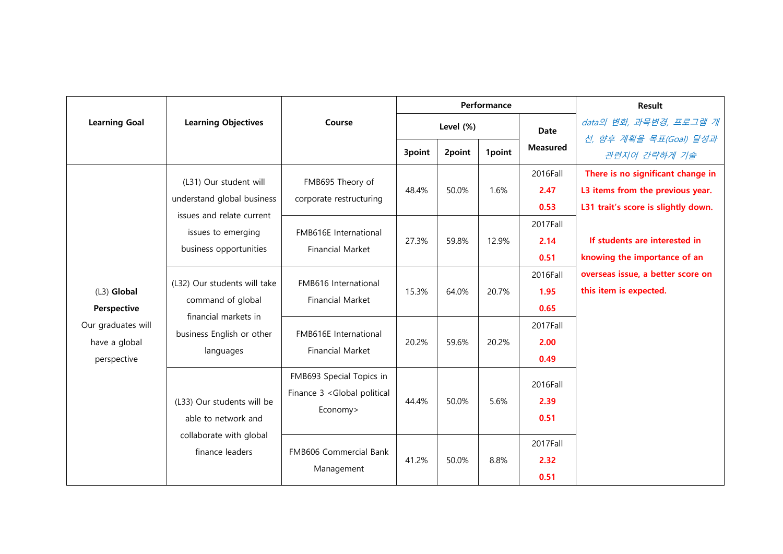|                              | <b>Learning Objectives</b>                                                                                          | Course                                                                             | Performance |        |        |                          | <b>Result</b>                       |
|------------------------------|---------------------------------------------------------------------------------------------------------------------|------------------------------------------------------------------------------------|-------------|--------|--------|--------------------------|-------------------------------------|
| <b>Learning Goal</b>         |                                                                                                                     |                                                                                    | Level (%)   |        |        | <b>Date</b>              | data의 변화, 과목변경, 프로그램 개              |
|                              |                                                                                                                     |                                                                                    | 3point      | 2point | 1point | <b>Measured</b>          | 선, 향후 계획을 목표(Goal) 달성과              |
|                              |                                                                                                                     |                                                                                    |             |        |        |                          | 관련지어 간략하게 기술                        |
|                              | (L31) Our student will<br>understand global business                                                                | FMB695 Theory of<br>corporate restructuring                                        | 48.4%       | 50.0%  | 1.6%   | 2016Fall                 | There is no significant change in   |
|                              |                                                                                                                     |                                                                                    |             |        |        | 2.47                     | L3 items from the previous year.    |
|                              | issues and relate current                                                                                           |                                                                                    |             |        |        | 0.53                     | L31 trait's score is slightly down. |
|                              | issues to emerging                                                                                                  | FMB616E International<br><b>Financial Market</b>                                   | 27.3%       | 59.8%  | 12.9%  | 2017Fall                 |                                     |
| $(L3)$ Global<br>Perspective | business opportunities                                                                                              |                                                                                    |             |        |        | 2.14                     | If students are interested in       |
|                              |                                                                                                                     |                                                                                    |             |        |        | 0.51                     | knowing the importance of an        |
|                              | (L32) Our students will take<br>command of global<br>financial markets in<br>business English or other<br>languages | FMB616 International<br>Financial Market                                           | 15.3%       | 64.0%  | 20.7%  | 2016Fall                 | overseas issue, a better score on   |
|                              |                                                                                                                     |                                                                                    |             |        |        | 1.95                     | this item is expected.              |
|                              |                                                                                                                     |                                                                                    |             |        |        | 0.65                     |                                     |
| Our graduates will           |                                                                                                                     | FMB616E International<br><b>Financial Market</b>                                   | 20.2%       | 59.6%  | 20.2%  | 2017Fall                 |                                     |
| have a global<br>perspective |                                                                                                                     |                                                                                    |             |        |        | 2.00                     |                                     |
|                              |                                                                                                                     |                                                                                    |             |        |        | 0.49                     |                                     |
|                              | (L33) Our students will be<br>able to network and<br>collaborate with global<br>finance leaders                     | FMB693 Special Topics in<br>Finance 3 <global political<br="">Economy&gt;</global> | 44.4%       | 50.0%  | 5.6%   | 2016Fall<br>2.39<br>0.51 |                                     |
|                              |                                                                                                                     | FMB606 Commercial Bank<br>Management                                               | 41.2%       | 50.0%  | 8.8%   | 2017Fall                 |                                     |
|                              |                                                                                                                     |                                                                                    |             |        |        | 2.32                     |                                     |
|                              |                                                                                                                     |                                                                                    |             |        |        | 0.51                     |                                     |